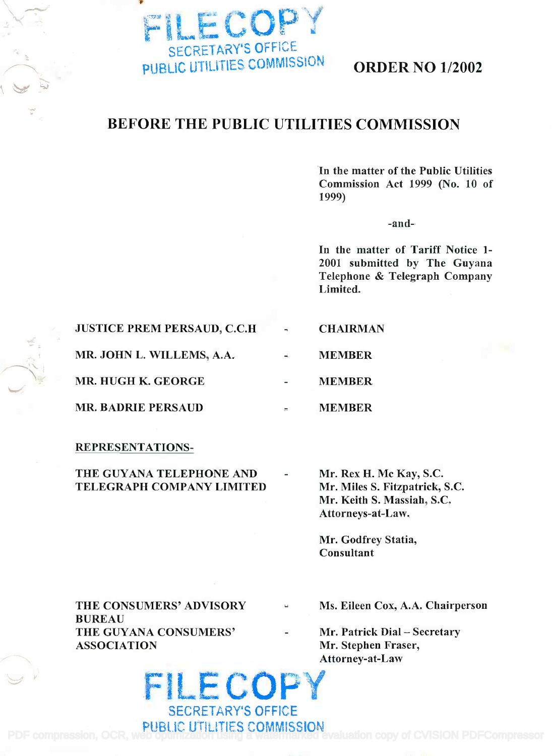

# BEFORE THE PUBLIC UTILITIES COMMISSION

In the matter of the Public Utilities In the matter of the Public Utilities Commission Act 1999 (No. 10 of Commission Act 1999 (No. 10 of 1999) 1999)

-and-

In the matter of Tariff Notice 1- In the matter of Tariff Notice 1- 2001 submitted by The Guyana 2001 submitted by The Guyana Telephone & Telegraph Company Telephone & Telegraph Company Limited. Limited.

#### JUSTICE PREM PERSAUD, C.C.H **CHAIRMAN**

MR. JOHN L. WILLEMS, A.A.

MR. HUGH K. GEORGE

MR. BADRIE PERSAUD

REPRESENTATIONS-

THE GUYANA TELEPHONE AND - Mr. TELEGRAPH COMPANY LIMITED TELEGRAPH COMPANY LIMITED

Mr. Rex H. Mc Kay, S.C. Mr. Rex H. Mc Kay, S.c. Mr. Miles S. Fitzpatrick, S.C. Mr. Miles S. Fitzpatrick, S.c. Mr. Keith S. Massiah, S.C. Mr. Keith S. Massiah, S.c. Attorneys-at-Law. Attorneys-at-Law.

Mr. Godfrey Statia, Mr. Godfrey Statia, Consultant Consultant

MEMBER

MEMBER

MEMBER

| THE CONSUMERS' ADVISORY | $\Delta\omega$           | Ms. Eileen Cox, A.A. Chairperson |
|-------------------------|--------------------------|----------------------------------|
| <b>BUREAU</b>           |                          |                                  |
| THE GUYANA CONSUMERS'   | $\overline{\phantom{a}}$ | Mr. Patrick Dial – Secretary     |
| <b>ASSOCIATION</b>      |                          | Mr. Stephen Fraser,              |
|                         |                          | Attorney-at-Law                  |

FILE COPY SECRETARY'S OFFICE PUBLIC UTILITIES COMMISSION !Iii ' < . . PDF compression, OCR, web optimization vehicle a watermarked evaluation copy of CVISION PDFCompressor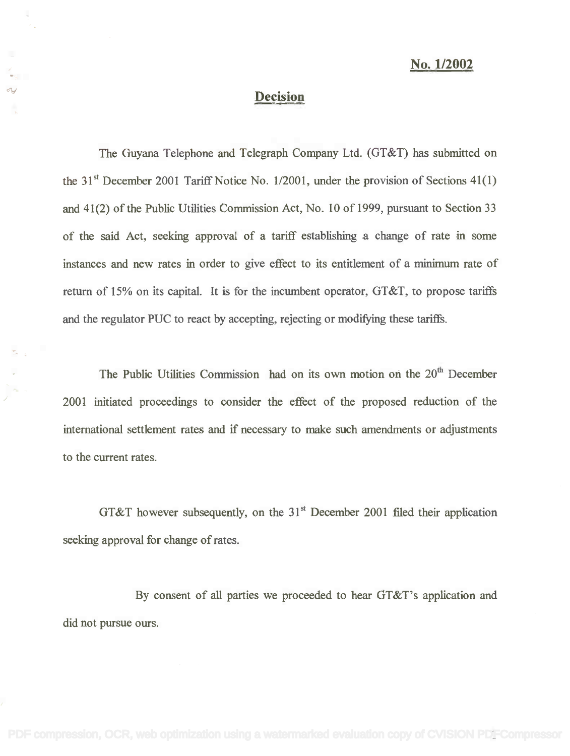## No. 1/2002

## Decision **Decision**

The Guyana Telephone and Telegraph Company Ltd. (GT&T) has submitted on The Guyana Telephone and Telegraph Company Ltd. (GT&T) has submitted on the 31<sup>st</sup> December 2001 Tariff Notice No. 1/2001, under the provision of Sections  $41(1)$ and 41(2) of the Public Utilities Commission Act, No. 10 of 1999, pursuant to Section 33 of the said Act, seeking approval of a tariff establishing a change of rate in some of the said Act, seeking approval of a tariff establishing a change of rate in some instances and new rates in order to give effect to its entitlement of a minimum rate of instances and new rates in order to give effect to its entitlement of a minimum rate of return of 15% on its capital. It is for the incumbent operator, GT&T, to propose tariffs return of 15% on its capital. It is for the incumbent operator, GT&T, to propose tariffs and the regulator PUC to react by accepting, rejecting or modifying these tariffs.

The Public Utilities Commission had on its own motion on the 20<sup>th</sup> December 2001 initiated proceedings to consider the effect of the proposed reduction of the 2001 initiated proceedings to consider the effect of the proposed reduction of the international settlement rates and if necessary to make such amendments or adjustments international settlement rates and if necessary to make such amendments or adjustments to the current rates. to the current rates.

GT&T however subsequently, on the  $31<sup>st</sup>$  December 2001 filed their application seeking approval for change of rates. seeking approval for change of rates.

By consent of all parties we proceeded to hear GT&T's application and By consent of all parties we proceeded to hear GT&T's application and did not pursue ours. did not pursue ours.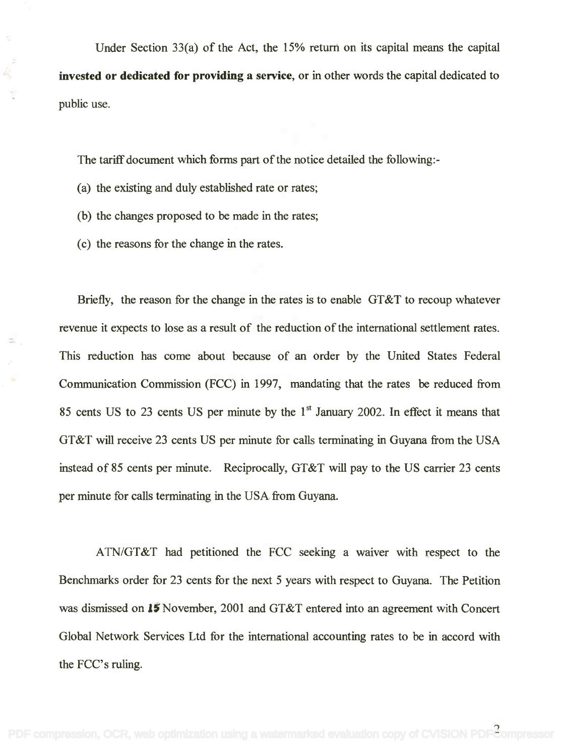Under Section 33(a) of the Act, the 15% return on its capital means the capital Under Section 33(a) of the Act, the 15% return on its capital means the capital invested or dedicated for providing a service, or in other words the capital dedicated to public use. public use.

The tariff document which forms part of the notice detailed the following: - The tariff document which forms part of the notice detailed the following:-

- (a) the existing and duly established rate or rates; (a) the existing and duly established rate or rates;
- (b) the changes proposed to be made in the rates; (b) the changes proposed to be made in the rates;
- (c) the reasons for the change in the rates. (c) the reasons for the change in the rates.

 $\bar{z}$ 

Briefly, the reason for the change in the rates is to enable GT&T to recoup whatever Briefly, the reason for the change in the rates is to enable GT&T to recoup whatever revenue it expects to lose as a result of the reduction of the international settlement rates. revenue it expects to lose as a result of the reduction of the international settlement rates. This reduction has come about because of an order by the United States Federal This reduction has come about because of an order by the United States Federal Communication Commission (FCC) in 1997, mandating that the rates be reduced from Communication Commission (FCC) in 1997, mandating that the rates be reduced from 85 cents US to 23 cents US per minute by the  $1<sup>st</sup>$  January 2002. In effect it means that GT&T will receive 23 cents US per minute for calls terminating in Guyana from the USA GT&T will receive 23 cents US per minute for calls terminating in Guyana from the USA instead of 85 cents per minute. Reciprocally, GT&T will pay to the US carrier 23 cents instead of 85 cents per minute. Reciprocally, GT&T will pay to the US carrier 23 cents per minute for calls terminating in the USA from Guyana. per minute for calls terminating in the USA from Guyana.

ATN/GT&T had petitioned the FCC seeking a waiver with respect to the A*TN/GT* &T had petitioned the FCC seeking a waiver with respect to the Benchmarks order for 23 cents for the next 5 years with respect to Guyana. The Petition Benchmarks order for 23 cents for the next 5 years with respect to Guyana. The Petition was dismissed on 15 November, 2001 and GT&T entered into an agreement with Concert Global Network Services Ltd for the international accounting rates to be in accord with Global Network Services Ltd for the international accounting rates to be in accord with the FCC's ruling. the FCC's ruling.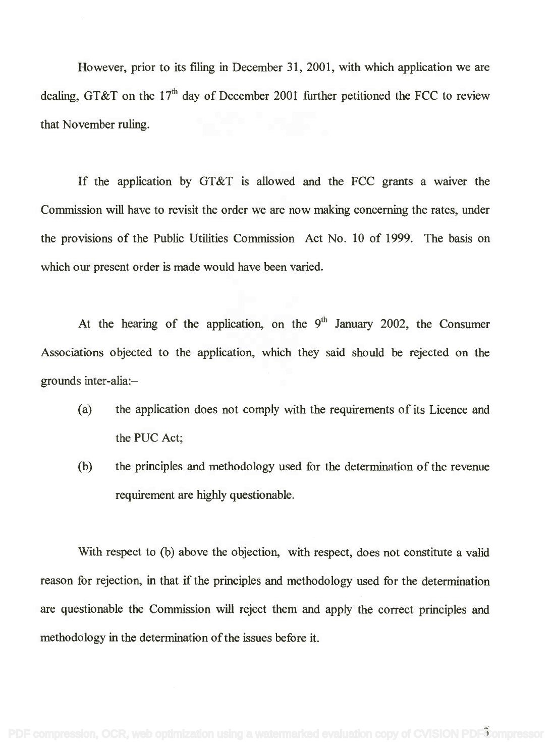However, prior to its filing in December 31, 2001, with which application we are However, prior to its filing in December 31, 2001, with which application we are dealing, GT&T on the 17<sup>th</sup> day of December 2001 further petitioned the FCC to review that November ruling. that November ruling.

If the application by GT&T is allowed and the FCC grants a waiver the If the application by GT&T is allowed and the FCC grants a WaIver the Commission will have to revisit the order we are now making concerning the rates, under Commission will have to revisit the order we are now making concerning the rates, under the provisions of the Public Utilities Commission Act No. 10 of 1999. The basis on the provisions of the Public Utilities Commission Act No. 10 of 1999. The basis on which our present order is made would have been varied. which our present order is made would have been varied.

At the hearing of the application, on the  $9<sup>th</sup>$  January 2002, the Consumer Associations objected to the application, which they said should be rejected on the Associations objected to the application, which they said should be rejected on the grounds inter-alia: grounds inter-alia:-

- (a) the application does not comply with the requirements of its Licence and (a) the application does not comply with the requirements of its Licence and the PUC Act; the PUC Act;
- (b) the principles and methodology used for the determination of the revenue (b) the principles and methodology used for the determination of the revenue requirement are highly questionable.

With respect to (b) above the objection, with respect, does not constitute a valid With respect to (b) above the Objection, with respect, does not constitute a valid reason for rejection, in that if the principles and methodology used for the determination reason for rejection, in that if the principles and methodology used for the determination are questionable the Commission will reject them and apply the correct principles and are questionable the Commission will reject them and apply the correct principles and methodology in the determination of the issues before it. methodology in the determination of the issues before it.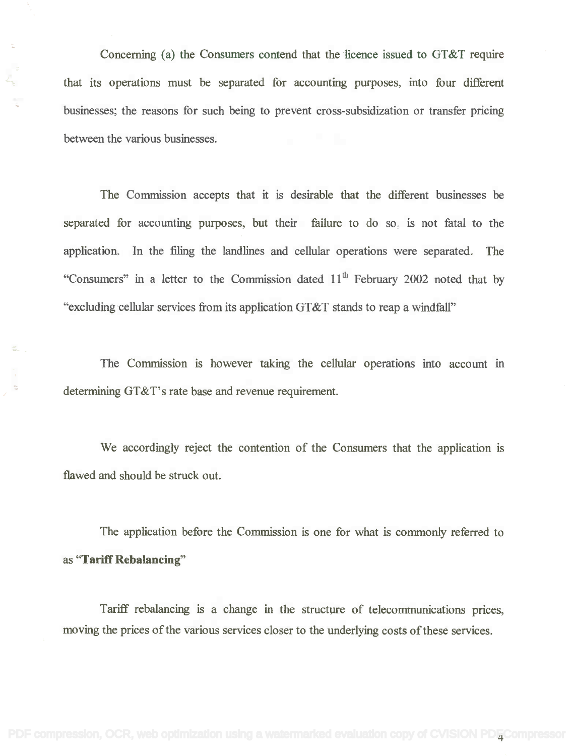Concerning (a) the Consumers contend that the licence issued to GT&T require that its operations must be separated for accounting purposes, into four different businesses; the reasons for such being to prevent cross-subsidization or transfer pricing between the various businesses.

÷,

The Commission accepts that it is desirable that the different businesses be separated for accounting purposes, but their failure to do so, is not fatal to the application. In the filing the landlines and cellular operations were separated. The application. In the filing the landlines and cellular operations were separated. The "Consumers" in a letter to the Commission dated 11<sup>th</sup> February 2002 noted that by "excluding cellular services from its application GT&T stands to reap a windfall"

The Commission is however taking the cellular operations into account in determining GT&T's rate base and revenue requirement. determining GT&T's rate base and revenue requirement.

We accordingly reject the contention of the Consumers that the application is We accordingly reject the contention of the Consumers that the application is flawed and should be struck out. flawed and should be struck out.

The application before the Commission is one for what is commonly referred to as "Tariff Rebalancing"

Tariff rebalancing is a change in the structure of telecommunications prices, Tariff rebalancing is a change in the structure of telecommunications pnces, moving the prices of the various services closer to the underlying costs of these services. moving the prices ofthe various services closer to the underlying costs of these services.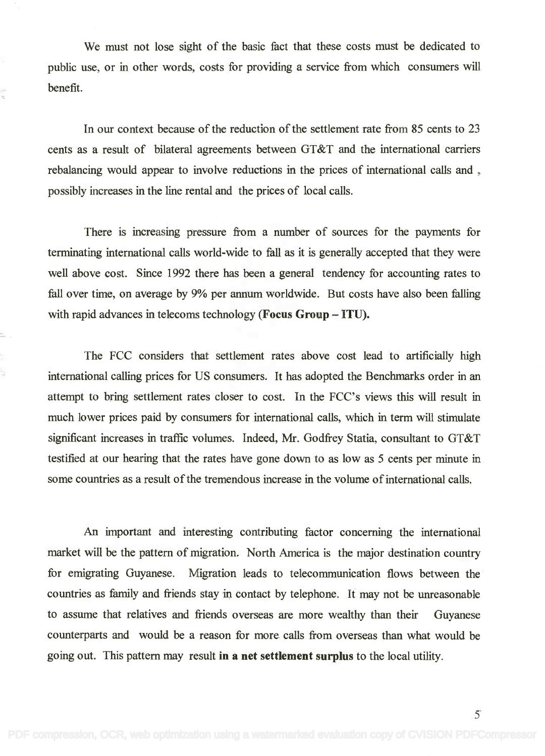We must not lose sight of the basic fact that these costs must be dedicated to We must not lose sight of the basic fact that these costs must be dedicated to public use, or in other words, costs for providing a service from which consumers will public use, or in other words, costs for providing a service from which consumers will benefit. benefit.

In our context because of the reduction of the settlement rate from 85 cents to 23 In our context because of the reduction of the settlement rate from 85 cents to 23 cents as a result of bilateral agreements between GT&T and the international carriers cents as a result of bilateral agreements between GT&T and the international carriers rebalancing would appear to involve reductions in the prices of international calls and , possibly increases in the line rental and the prices of local calls. possibly increases in the line rental and the prices of local calls.

There is increasing pressure from a number of sources for the payments for There is increasing pressure from a number of sources for the payments for terminating international calls world-wide to fall as it is generally accepted that they were terminating international calls world-wide to fall as it is generally accepted that they were well above cost. Since 1992 there has been a general tendency for accounting rates to well above cost. Since 1992 there has been a general tendency for accounting rates to fall over time, on average by 9% per annum worldwide. But costs have also been falling fall over time, on average by 9% per annum worldwide. But costs have also been falling with rapid advances in telecoms technology (Focus Group - ITU).

The FCC considers that settlement rates above cost lead to artificially high The FCC considers that settlement rates above cost lead to artificially high international calling prices for US consumers. It has adopted the Benchmarks order in an international calling prices for US consumers. It has adopted the Benchmarks order in an attempt to bring settlement rates closer to cost. In the FCC's views this will result in attempt to bring settlement rates closer to cost. In the FCC's views this will result in much lower prices paid by consumers for international calls, which in term will stimulate much lower prices paid by consumers for international calls, which in term will stimulate significant increases in traffic volumes. Indeed, Mr. Godfrey Statia, consultant to GT&T significant increases in traffic volumes. Indeed, Mr. Godfrey Statia, consultant to GT&T testified at our hearing that the rates have gone down to as low as 5 cents per minute in some countries as a result of the tremendous increase in the volume of international calls. some countries as a result of the tremendous increase in the volume of international calls.

ų.

An important and interesting contributing factor concerning the international An important and interesting contributing factor concerning the international market will be the pattern of migration. North America is the major destination country market will be the pattern of migration. North America is the major destination country for emigrating Guyanese. Migration leads to telecommunication flows between the for emigrating Guyanese. Migration leads to telecommunication flows between the countries as family and friends stay in contact by telephone. It may not be unreasonable countries as family and friends stay in contact by telephone. It may not be unreasonable to assume that relatives and friends overseas are more wealthy than their Guyanese to assume that relatives and friends overseas are more wealthy than their Guyanese counterparts and would be a reason for more calls from overseas than what would be counterparts and would be a reason for more calls from overseas than what would be going out. This pattern may result in a net settlement surplus to the local utility. going out. This pattern may result **in a** net settlement surplus to the local utility.

5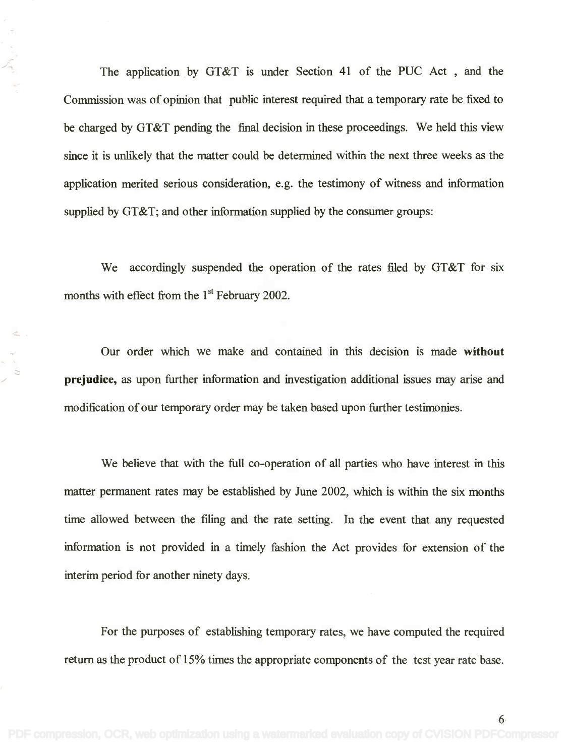The application by GT&T is under Section 41 of the PUC Act , and the The application by GT&T is under Section 41 of the PUC Act , and the Commission was of opinion that public interest required that a temporary rate be fixed to Commission was of opinion that public interest required that a temporary rate be fixed to be charged by GT&T pending the final decision in these proceedings. We held this view be charged by GT&T pending the final decision in these proceedings. We held this view since it is unlikely that the matter could be determined within the next three weeks as the since it is unlikely that the matter could be determined within the next three weeks as the application merited serious consideration, e.g. the testimony of witness and information application merited serious consideration, e.g. the testimony of witness and information supplied by GT&T; and other information supplied by the consumer groups: supplied by GT&T; and other information supplied by the consumer groups:

We accordingly suspended the operation of the rates filed by GT&T for six We accordingly suspended the operation of the rates filed by GT&T for six months with effect from the  $1<sup>st</sup>$  February 2002.

Our order which we make and contained in this decision is made without Our order which we make and contained in this decision is made **without** prejudice, as upon further information and investigation additional issues may arise and **prejudice,** as upon further information and investigation additional issues may arise and modification of our temporary order may be taken based upon further testimonies. modification of our temporary order may be taken based upon further testimonies.

We believe that with the full co-operation of all parties who have interest in this We believe that with the full co-operation of all parties who have interest in this matter permanent rates may be established by June 2002, which is within the six months matter permanent rates may be established by June 2002, which is within the six months time allowed between the filing and the rate setting. In the event that any requested time allowed between the filing and the rate setting. In the event that any requested information is not provided in a timely fashion the Act provides for extension of the information is not provided in a timely fashion the Act provides for extension of the interim period for another ninety days. interim period for another ninety days.

For the purposes of establishing temporary rates, we have computed the required For the purposes of establishing temporary rates, we have computed the required return as the product of 15% times the appropriate components of the test year rate base. return as the product of 15% times the appropriate components of the test year rate base.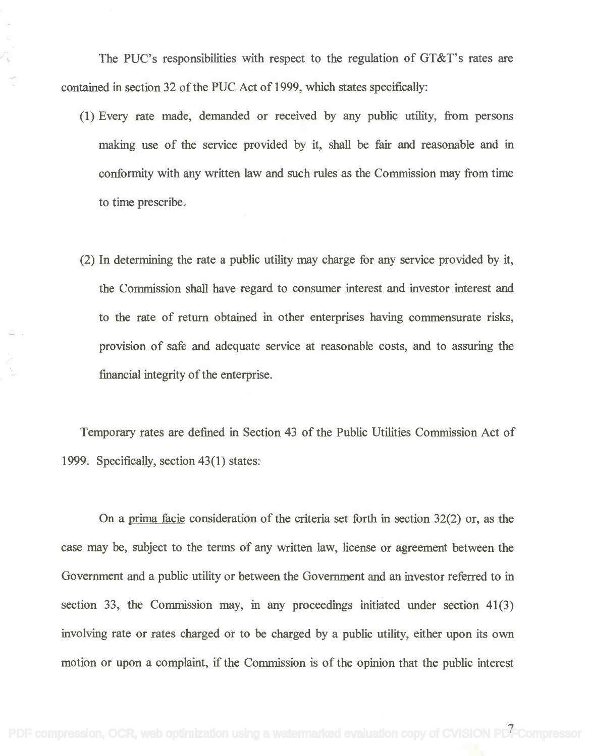The PUC's responsibilities with respect to the regulation of GT&T's rates are The PUC's responsibilities with respect to the regulation of GT&T's rates are contained in section 32 of the PUC Act of 1999, which states specifically: contained in section 32 of the PUC Act of 1999, which states specifically:

- (1) Every rate made, demanded or received by any public utility, from persons (1) Every rate made, demanded or received by any public utility, from persons making use of the service provided by it, shall be fair and reasonable and in making use of the service provided by it, shall be fair and reasonable and in conformity with any written law and such rules as the Commission may from time conformity with any written law and such rules as the Commissionmay from time to time prescribe. to time prescribe.
- (2) In determining the rate a public utility may charge for any service provided by it, (2) In determining the rate a public utility may charge for any service provided by it, the Commission shall have regard to consumer interest and investor interest and the Commission shall have regard to consumer interest and investor interest and to the rate of return obtained in other enterprises having commensurate risks, to the rate of return obtained in other enterprises having commensurate risks, provision of safe and adequate service at reasonable costs, and to assuring the provision of safe and adequate service at reasonable costs, and to assuring the financial integrity of the enterprise.

Temporary rates are defined in Section 43 of the Public Utilities Commission Act of Temporary rates are defined in Section 43 of the Public Utilities Commission Act of 1999. Specifically, section 43(1) states:

On a prima facie consideration of the criteria set forth in section 32(2) or, as the On a prima facie consideration of the criteria set forth in section 32(2) or, as the case may be, subject to the terms of any written law, license or agreement between the case may be, subject to the terms of any written law, license or agreement between the Government and a public utility or between the Government and an investor referred to in Government and a public utility or between the Government and an investor referred to in section 33, the Commission may, in any proceedings initiated under section 41(3) section 33, the Commission may, in any proceedings initiated under section 41(3) involving rate or rates charged or to be charged by a public utility, either upon its own involving rate or rates charged or to be charged by a public utility, either upon its own motion or upon a complaint, if the Commission is of the opinion that the public interest motion or upon a complaint, if the Commission is of the opinion that the public interest

[PDF compression, OCR, web optimization using a watermarked evaluation copy of CVISION PDFCompressor](http://www.cvisiontech.com)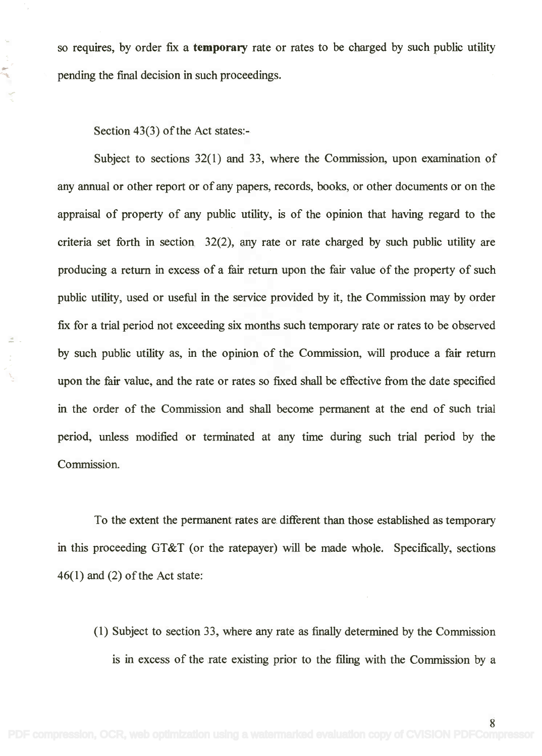so requires, by order fix a temporary rate or rates to be charged by such public utility so requires, by order fix a **temporary** rate or rates to be charged by such public utility pending the final decision in such proceedings. pending the final decision in such proceedings.

Section 43(3) of the Act states: - Section 43(3) of the Act states:-

Subject to sections 32(1) and 33, where the Commission, upon examination of Subject to sections 32(1) and 33, where the Commission, upon examination of any annual or other report or of any papers, records, books, or other documents or on the any annual or other report or of any papers, records, books, or other documents or on the appraisal of property of any public utility, is of the opinion that having regard to the appraisal of property of any public utility, is of the opinion that having regard to the criteria set forth in section 32(2), any rate or rate charged by such public utility are criteria set forth in section 32(2), any rate or rate charged by such public utility are producing a return in excess of a fair return upon the fair value of the property of such producing a return in excess of a fair return upon the fair value of the property of such public utility, used or useful in the service provided by it, the Commission may by order public utility, used or useful in the service provided by it, the Commission may by order fix for a trial period not exceeding six months such temporary rate or rates to be observed fix for a trial period not exceeding six months such temporary rate or rates to be observed by such public utility as, in the opinion of the Commission, will produce a fair return by such public utility as, in the opinion of the Commission, will produce a fair return upon the fair value, and the rate or rates so fixed shall be effective from the date specified upon the fair value, and the rate or rates so fixed shall be effective from the date specified in the order of the Commission and shall become permanent at the end of such trial in the order of the Commission and shall become permanent at the end of such trial period, unless modified or terminated at any time during such trial period by the period, unless modified or terminated at any time during such trial period by the Commission. Commission.

To the extent the permanent rates are different than those established as temporary To the extent the permanent rates are different than those established as temporary in this proceeding GT&T (or the ratepayer) will be made whole. Specifically, sections 46(1) and (2) of the Act state: 46(1) and (2) of the Act state:

(1) Subject to section 33, where any rate as finally determined by the Commission (1) Subject to section 33, where any rate as finallydetermined by the Commission is in excess of the rate existing prior to the filing with the Commission by a is in excess of the rate existing prior to the filing with the Commission by a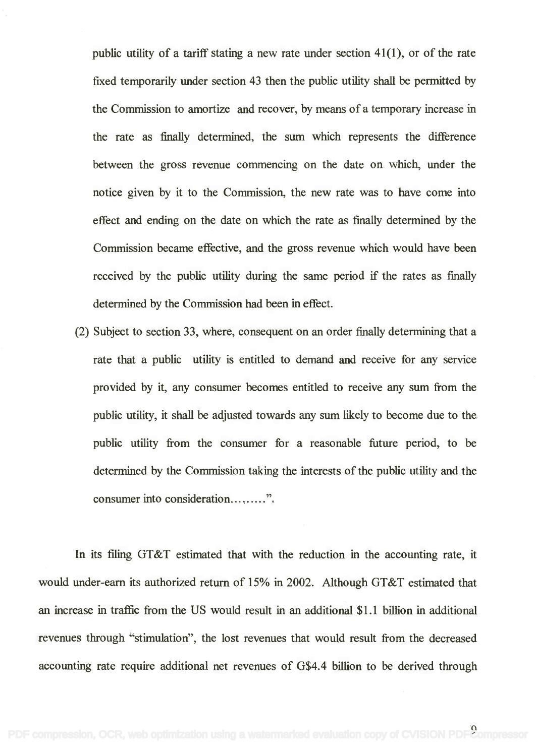public utility of a tariff stating a new rate under section 41(1), or of the rate public utility of a tariff stating a new rate under section 41(l), or of the rate fixed temporarily under section 43 then the public utility shall be permitted by fixed temporarily under section 43 then the public utility shall be permitted by the Commission to amortize and recover, by means of a temporary increase in the Commission to amortize and recover, by means of a temporary increase in the rate as finally determined, the sum which represents the difference the rate as finally determined, the sum which represents the difference between the gross revenue commencing on the date on which, under the between the gross revenue commencing on the date on which, under the notice given by it to the Commission, the new rate was to have come into notice given by it to the Commission, the new rate was to have come into effect and ending on the date on which the rate as finally determined by the effect and ending on the date on which the rate as finally determined by the Commission became effective, and the gross revenue which would have been Commission became effective, and the gross revenue which would have been received by the public utility during the same period if the rates as finally received by the public utility during the same period if the rates as finally determined by the Commission had been in effect.

(2) Subject to section 33, where, consequent on an order finally determining that a rate that a public utility is entitled to demand and receive for any service provided by it, any consumer becomes entitled to receive any sum from the provided by it, any consumer becomes entitled to receive any sum from the public utility, it shall be adjusted towards any sum likely to become due to the public utility, it shall be adjusted towards any sum likelyto become due to the public utility from the consumer for a reasonable future period, to be public utility from the consumer for a reasonable future period, to be determined by the Commission taking the interests of the public utility and the determined by the Commission taking the interests of the public utility and the consumer into consideration...,......".

In its filing GT&T estimated that with the reduction in the accounting rate, it In its filing OT&T estimated that with the reduction in the accounting rate, it would under-earn its authorized return of 15% in 2002. Although GT&T estimated that would under-earn its authorized return of 15% in 2002. Although OT&T estimated that an increase in traffic from the US would result in an additional \$1.1 billion in additional an increase in traffic from the US would result in an additional \$1.1 billion in additional revenues through "stimulation", the lost revenues that would result from the decreased revenues through "stimulation", the lost revenues that would result from the decreased accounting rate require additional net revenues of G\$4.4 billion to be derived through accounting rate require additional net revenues of 0\$4.4 billion to be derived through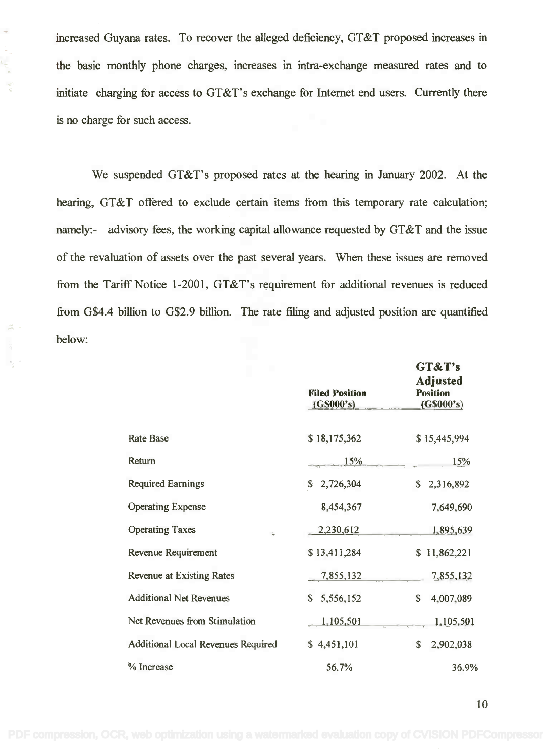increased Guyana rates. To recover the alleged deficiency, GT&T proposed increases in the basic monthly phone charges, increases in intra-exchange measured rates and to initiate charging for access to GT&T's exchange for Internet end users. Currently there is no charge for such access.

 $\alpha$ 

ų

We suspended GT&T's proposed rates at the hearing in January 2002. At the hearing, GT&T offered to exclude certain items from this temporary rate calculation; namely:- advisory fees, the working capital allowance requested by GT&T and the issue of the revaluation of assets over the past several years. When these issues are removed from the Tariff Notice 1-2001, GT&T's requirement for additional revenues is reduced from G\$4.4 billion to G\$2.9 billion. The rate filing and adjusted position are quantified below:

|                                    | <b>Filed Position</b><br>(G\$000's) | GT&T's<br><b>Adjusted</b><br><b>Position</b><br>(G\$000's) |
|------------------------------------|-------------------------------------|------------------------------------------------------------|
| <b>Rate Base</b>                   | \$18,175,362                        | \$15,445,994                                               |
| Return                             | 15%                                 | 15%                                                        |
| <b>Required Earnings</b>           | \$<br>2,726,304                     | \$2,316,892                                                |
| <b>Operating Expense</b>           | 8,454,367                           | 7,649,690                                                  |
| <b>Operating Taxes</b><br>÷        | 2,230,612                           | 1,895,639                                                  |
| Revenue Requirement                | \$13,411,284                        | \$11,862,221                                               |
| <b>Revenue at Existing Rates</b>   | 7,855,132                           | 7,855,132                                                  |
| <b>Additional Net Revenues</b>     | \$<br>5,556,152                     | \$<br>4,007,089                                            |
| Net Revenues from Stimulation      | 1,105,501                           | 1,105,501                                                  |
| Additional Local Revenues Required | \$4,451,101                         | $\mathbb{S}$<br>2,902,038                                  |
| % Increase                         | 56.7%                               | 36.9%                                                      |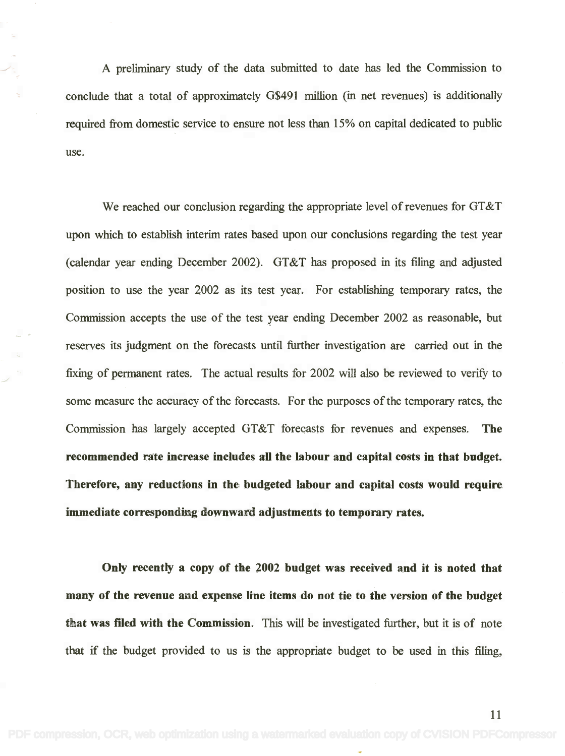A preliminary study of the data submitted to date has led the Commission to A preliminary study of the data submitted to date has led the Commission to conclude that a total of approximately G\$491 million (in net revenues) is additionally conclude that a total of approximately 0\$491 million (in net revenues) is additionally required from domestic service to ensure not less than 15% on capital dedicated to public use.

We reached our conclusion regarding the appropriate level of revenues for GT&T We reached our conclusion regarding the appropriate level of revenues for OT&T upon which to establish interim rates based upon our conclusions regarding the test year upon which to establish interim rates based upon our conclusions regarding the test year (calendar year ending December 2002). GT&T has proposed in its filing and adjusted (calendar year ending December 2002). OT&T has proposed in its filing and adjusted position to use the year 2002 as its test year. For establishing temporary rates, the position to use the year 2002 as its test year. For establishing temporary rates, the Commission accepts the use of the test year ending December 2002 as reasonable, but Commission accepts the use of the test year ending December 2002 as reasonable, but reserves its judgment on the forecasts until further investigation are carried out in the fixing of permanent rates. The actual results for 2002 will also be reviewed to verify to some measure the accuracy of the forecasts. For the purposes of the temporary rates, the some measure the accuracy of the forecasts. For the purposes of the temporary rates, the Commission has largely accepted GT&T forecasts for revenues and expenses. The Commission has largely accepted OT&T forecasts for revenues and expenses. The recommended rate increase includes all the labour and capital costs in that budget. recommended rate increase includes all the labour and capital costs in that budget. Therefore, any reductions in the budgeted labour and capital costs would require Therefore, any reductions in the budgeted labour and capital costs would require immediate corresponding downward adjustments to temporary rates.

Only recently a copy of the 2002 budget was received and it is noted that Only recently a copy of the 2002 budget was received and it is noted that many of the revenue and expense line items do not tie to the version of the budget many of the revenue and expense line items do not tie to the version of the budget that was filed with the Commission. This will be investigated further, but it is of note that was filed with the Commission. This will be investigated further, but it is of note that if the budget provided to us is the appropriate budget to be used in this filing, that if the budget provided to us is the appropriate budget to be used in this filing,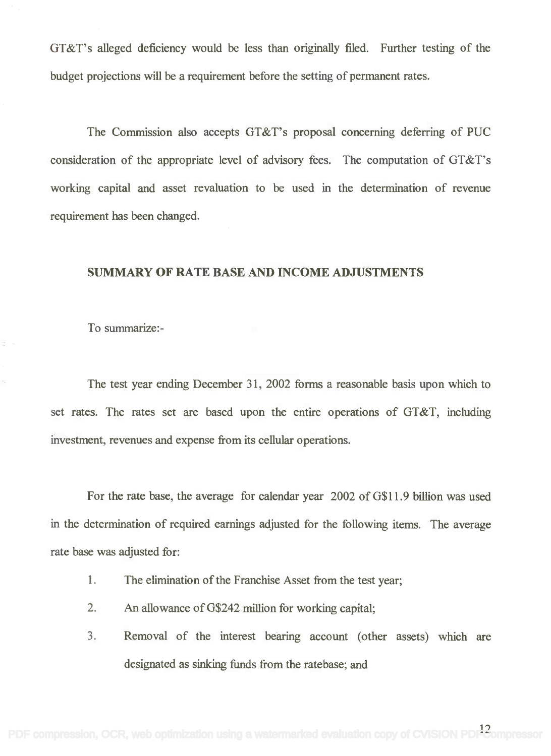GT&T's alleged deficiency would be less than originally filed. Further testing of the GT&T's alleged deficiency would be less than originally filed. Further testing of the budget projections will be a requirement before the setting of permanent rates. budget projections will be a requirement before the setting of permanent rates.

The Commission also accepts GT&T's proposal concerning deferring of PUC The Commission also accepts GT&T's proposal concerning deferring of PUC consideration of the appropriate level of advisory fees. The computation of GT&T's consideration of the appropriate level of advisory fees. The computation of GT&T's working capital and asset revaluation to be used in the determination of revenue working capital and asset revaluation to be used in the determination of revenue requirement has been changed.

## SUMMARY OF RATE BASE AND INCOME ADJUSTMENTS

To summarize:-

The test year ending December 31, 2002 forms a reasonable basis upon which to The test year ending December 31, 2002 forms a reasonable basis upon which to set rates. The rates set are based upon the entire operations of GT&T, including set rates. The rates set are based upon the entire operations of GT&T, including investment, revenues and expense from its cellular operations.

For the rate base, the average for calendar year 2002 of G\$11.9 billion was used For the rate base, the average for calendar year 2002 ofG\$I1.9 billion was used in the determination of required earnings adjusted for the following items. The average in the determination of required earnings adjusted for the following items. The average rate base was adjusted for:

- 1. The elimination of the Franchise Asset from the test year; 1. The eliminationof the Franchise Asset from the test year;
- 2. An allowance of G\$242 million for working capital; 2. An allowance ofG\$242 millionfor working capital;
- 3. Removal of the interest bearing account (other assets) which are 3. Removal of the interest bearing account (other assets) which are designated as sinking funds from the ratebase; and designated as sinking funds from the ratebase; and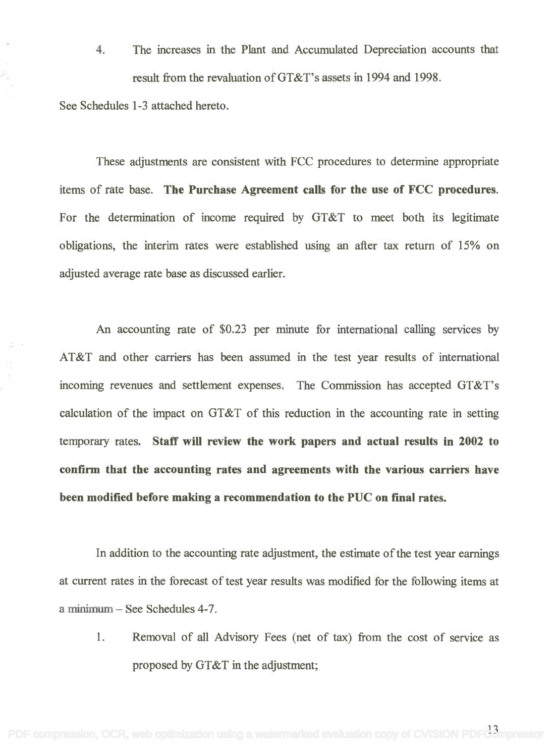4. The increases in the Plant and Accumulated Depreciation accounts that The increases in the Plant and Accumulated Depreciation accounts that result from the revaluation of GT&T's assets in 1994 and 1998. result from the revaluation ofGT&T's assets in 1994 and 1998.

See Schedules 1-3 attached hereto. See Schedules 1-3 attached hereto.

These adjustments are consistent with FCC procedures to determine appropriate These adjustments are consistent with FCC procedures to determine appropriate items of rate base. The Purchase Agreement calls for the use of FCC procedures. items of rate base. The Purchase Agreement calls for the use of FCC procedures. For the determination of income required by GT&T to meet both its legitimate For the determination of income required by GT&T to meet both its legitimate obligations, the interim rates were established using an after tax return of 15% on adjusted average rate base as discussed earlier. adjusted average rate base as discussed earlier.

An accounting rate of \$023 per minute for international calling services by An accounting rate of \$0.23 per minute for international calling services by AT&T and other carriers has been assumed in the test year results of international AT&T and other carriers has been assumed in the test year results of international incoming revenues and settlement expenses. The Commission has accepted GT&T's incoming revenues and settlement expenses. The Commission has accepted GT&T's calculation of the impact on GT&T of this reduction in the accounting rate in setting calculation of the impact on GT&T of this reduction in the accounting rate in setting temporary rates. Staff will review the work papers and actual results in 2002 to confirm that the accounting rates and agreements with the various carriers have confirm that the accounting rates and agreements with the various carriers have been modified before making a recommendation to the PUC on final rates. been modified before making a recommendation to the PUC on final rates.

In addition to the accounting rate adjustment, the estimate of the test year earnings In addition to the accounting rate adjustment, the estimate of the test year earnings at current rates in the forecast of test year results was modified for the following items at at current rates in the forecast of test year results was modified for the following items at a minimum – See Schedules 4-7.

1. Removal of all Advisory Fees (net of tax) from the cost of service as 1. Removal of all Advisory Fees (net of tax) from the cost of service as proposed by GT&T in the adjustment; proposed by GT&T in the adjustment;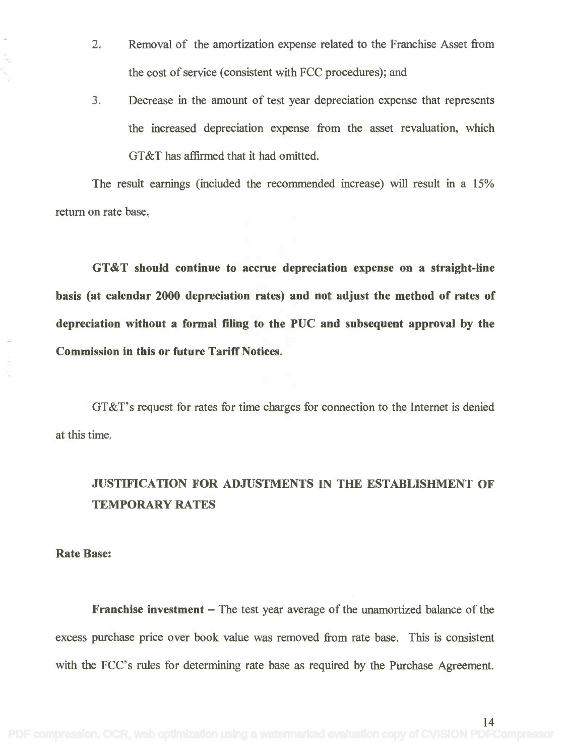- 2. Removal of the amortization expense related to the Franchise Asset from 2. Removal of the amortization expense related to the Franchise Asset from the cost of service (consistent with FCC procedures); and the cost of service (consistent with FCC procedures); and
- 3. Decrease in the amount of test year depreciation expense that represents 3. Decrease in the amount of test year depreciation expense that represents the increased depreciation expense from the asset revaluation, which the increased depreciation expense from the asset revaluation, which GT&T has affirmed that it had omitted.

The result earnings (included the recommended increase) will result in a 15% The result earnings (included the recommended increase) will result in a 15% return on rate base. return on rate base.

GT&T should continue to accrue depreciation expense on a straight -line **GT&T should continue to accrue depreciation expense on a straight-line** basis (at calendar 2000 depreciation rates) and not adjust the method of rates of depreciation without a formal filing to the PUC and subsequent approval by the Commission in this or future Tariff Notices. **Commission in this or future Tariff Notices.**

GT&T's request for rates for time charges for connection to the Internet is denied GT&T's request for rates for time charges for connection to the Internet is denied at this time. at this time.

## JUSTIFICATION FOR ADJUSTMENTS IN THE ESTABLISHMENT OF **JUSTIFICATION FOR ADJUSTMENTS IN THE ESTABLISHMENT OF** TEMPORARY RATES **TEMPORARY RATES**

## Rate Base:

Franchise investment The test year average of the unamortized balance of the **Franchise investment -** The test year average of the unamortized balance of the excess purchase price over book value was removed from rate base. This is consistent excess purchase price over book value was removed from rate base. This is consistent with the FCC's rules for determining rate base as required by the Purchase Agreement. with the FCC's rules for determining rate base as required by the Purchase Agreement.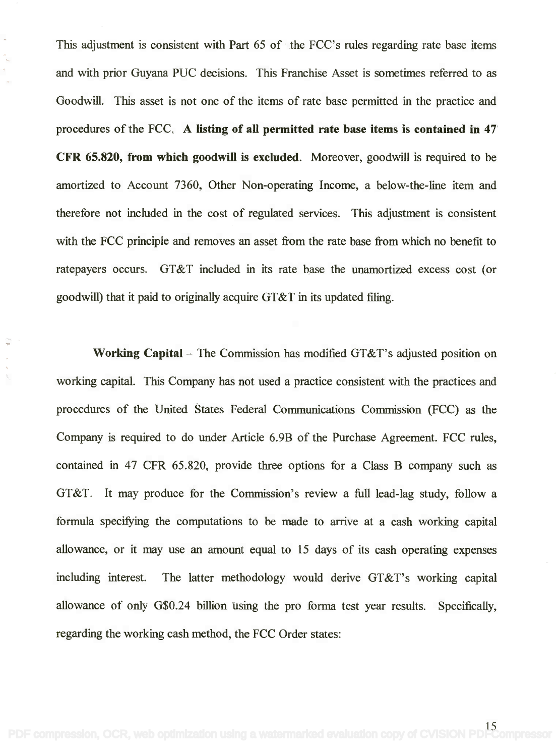This adjustment is consistent with Part 65 of the FCC's rules regarding rate base items This adjustment is consistent with Part 65 of the FCC's rules regarding rate base items and with prior Guyana PUC decisions. This Franchise Asset is sometimes referred to as and with prior Guyana PUC decisions. This Franchise Asset is sometimes referred to as Goodwill. This asset is not one of the items of rate base permitted in the practice and Goodwill. This asset is not one of the items of rate base permitted in the practice and procedures of the FCC. A listing of all permitted rate base items is contained in 47 procedures of the FCC. A listing of all permitted rate base items is contained in 47 CFR 65.820, from which goodwill is excluded. Moreover, goodwill is required to be CFR 65.820, from which goodwill is excluded. Moreover, goodwill is required to be amortized to Account 7360, Other Non-operating Income, a below-the-line item and amortized to Account 7360, Other Non-operating Income, a below-the-line item and therefore not included in the cost of regulated services. This adjustment is consistent therefore not included in the cost of regulated services. This adjustment is consistent with the FCC principle and removes an asset from the rate base from which no benefit to ratepayers occurs. GT&T included in its rate base the unamortized excess cost (or goodwill) that it paid to originally acquire GT&T in its updated filing. goodwill) that it paid to originallyacquire GT&T in its updated filing.

Working Capital - The Commission has modified GT&T's adjusted position on working capital. This Company has not used a practice consistent with the practices and working capital. This Company has not used a practice consistent with the practices and procedures of the United States Federal Communications Commission (FCC) as the procedures of the United States Federal Communications Commission (FCC) as the Company is required to do under Article 6.9B of the Purchase Agreement. FCC rules, Company is required to do under Article 6.9B of the Purchase Agreement. FCC rules, contained in 47 CFR 65.820, provide three options for a Class B company such as contained in 47 CFR 65.820, provide three options for a Class B company such as GT&T. It may produce for the Commission's review a full lead-lag study, follow a GT&T. It may produce for the Commission's review a full lead-lag study, follow a formula specifying the computations to be made to arrive at a cash working capital allowance, or it may use an amount equal to 15 days of its cash operating expenses allowance, or it may use an amount equal to 15 days of its cash operating expenses including interest. The latter methodology would derive GT&T's working capital including interest. The latter methodology would derive GT&T's working capital allowance of only G\$0.24 billion using the pro forma test year results. Specifically, allowance of only G\$0.24 billion using the pro forma test year results. Specifically, regarding the working cash method, the FCC Order states: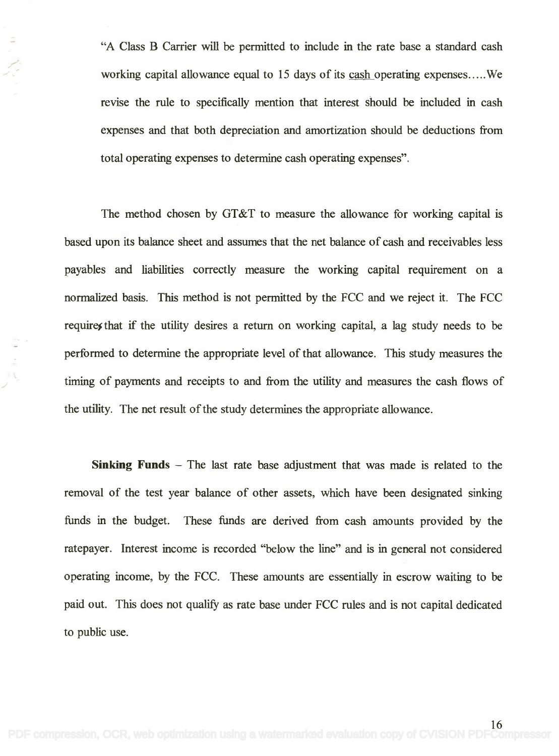"A Class B Carrier will be permitted to include in the rate base a standard cash "A Class B Carrier will be permitted to include in the rate base a standard cash working capital allowance equal to 15 days of its cash operating expenses.....We revise the rule to specifically mention that interest should be included in cash revise the rule to specifically mention that interest should be included in cash expenses and that both depreciation and amortization should be deductions from expenses and that both depreciation and amortization should be deductions from total operating expenses to determine cash operating expenses".

The method chosen by GT&T to measure the allowance for working capital is The method chosen by GT&T to measure the allowance for working capital is based upon its balance sheet and assumes that the net balance of cash and receivables less based upon its balance sheet and assumes that the net balance of cash and receivables less payables and liabilities correctly measure the working capital requirement on a payables and liabilities correctly measure the working capital requirement on a normalized basis. This method is not permitted by the FCC and we reject it. The FCC requires that if the utility desires a return on working capital, a lag study needs to be performed to determine the appropriate level of that allowance. This study measures the performed to determine the appropriate level of that allowance. This study measures the timing of payments and receipts to and from the utility and measures the cash flows of timing of payments and receipts to and from the utility and measures the cash flows of the utility. The net result of the study determines the appropriate allowance. the utility. The net result of the study determinesthe appropriate allowance.

Sinking Funds The last rate base adjustment that was made is related to the **Sinking Funds -** The last rate base adjustment that was made is related to the removal of the test year balance of other assets, which have been designated sinking removal of the test year balance of other assets, which have been designated sinking funds in the budget. These funds are derived from cash amounts provided by the funds in the budget. These funds are derived from cash amounts provided by the ratepayer. Interest income is recorded "below the line" and is in general not considered operating income, by the FCC. These amounts are essentially in escrow waiting to be paid out. This does not qualify as rate base under FCC rules and is not capital dedicated paid out. This does not qualify as rate base under FCC rules and is not capital dedicated to public use. to public use.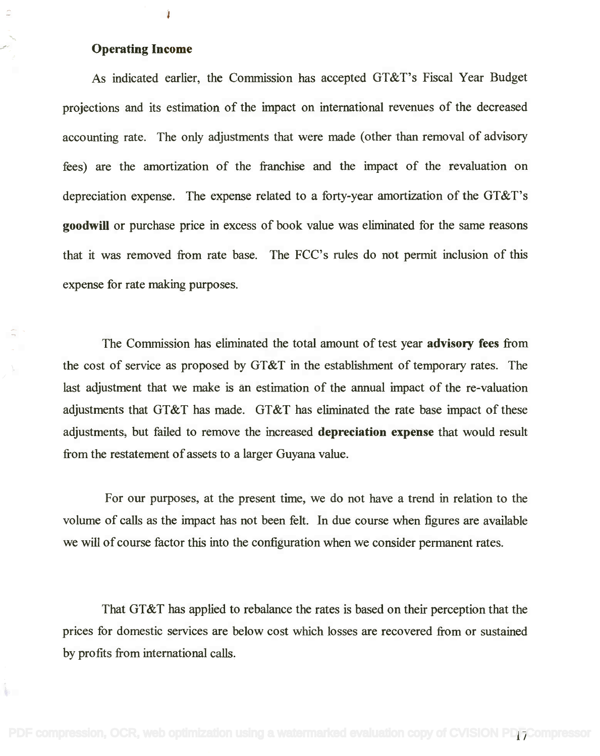## Operating Income **Operating Income**

k.

Ì

As indicated earlier, the Commission has accepted GT&T's Fiscal Year Budget As indicated earlier, the Commission has accepted GT&T's Fiscal Year Budget projections and its estimation of the impact on international revenues of the decreased projections and its estimation of the impact on international revenues of the decreased accounting rate. The only adjustments that were made (other than removal of advisory accounting rate. The only adjustments that were made (other than removal of advisory fees) are the amortization of the franchise and the impact of the revaluation on fees) are the amortization of the franchise and the impact of the revaluation on depreciation expense. The expense related to a forty-year amortization of the GT&T's depreciation expense. The expense related to a forty-year amortization of the GT&T's goodwill or purchase price in excess of book value was eliminated for the same reasons **goodwill** or purchase price in excess of book value was eliminated for the same reasons that it was removed from rate base. The FCC's rules do not permit inclusion of this expense for rate making purposes. expense for rate making purposes.

The Commission has eliminated the total amount of test year advisory fees from The Commission has eliminated the total amount of test year **advisory fees** from the cost of service as proposed by GT&T in the establishment of temporary rates. The the cost of service as proposed by GT&T in the establishment of temporary rates. The last adjustment that we make is an estimation of the annual impact of the re-valuation last adjustment that we make is an estimation of the annual impact of the re-valuation adjustments that GT&T has made. GT&T has eliminated the rate base impact of these adjustments that GT&T has made. GT&T has eliminated the rate base impact of these adjustments, but failed to remove the increased depreciation expense that would result adjustments, but failed to remove the increased **depreciation expense** that would result from the restatement of assets to a larger Guyana value. from the restatement of assets to a larger Guyana value.

For our purposes, at the present time, we do not have a trend in relation to the For our purposes, at the present time, we do not have a trend in relation to the volume of calls as the impact has not been felt. In due course when figures are available volume of calls as the impact has not been felt. In due course when figures are available we will of course factor this into the configuration when we consider permanent rates. we will of course factor this into the configuration when we consider permanent rates.

That GT&T has applied to rebalance the rates is based on their perception that the That GT&T has applied to rebalance the rates is based on their perception that the prices for domestic services are below cost which losses are recovered from or sustained prices for domestic services are below cost which losses are recovered from or sustained by profits from international calls. by profits from international calls.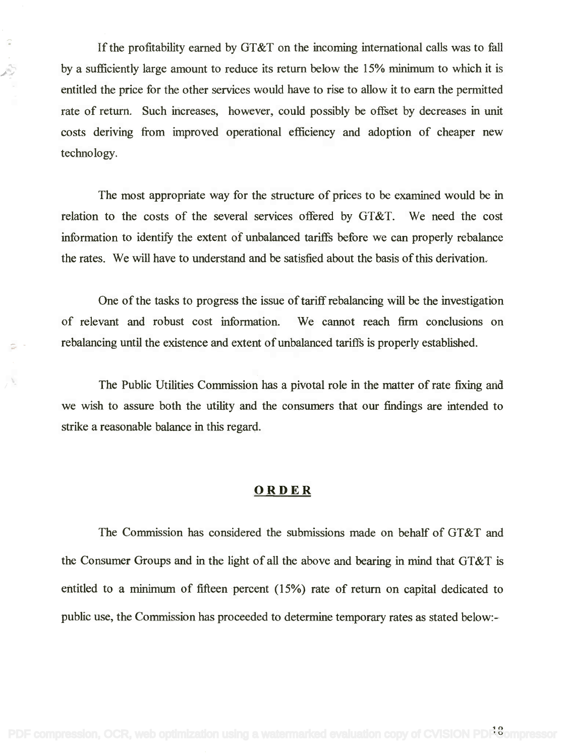If the profitability earned by GT&T on the incoming international calls was to fall If the profitability earned by GT&T on the incoming international calls was to fall by a sufficiently large amount to reduce its return below the 15% minimum to which it is by a sufficiently large amount to reduce its return below the 15% minimum to which it is entitled the price for the other services would have to rise to allow it to earn the permitted rate of return. Such increases, however, could possibly be offset by decreases in unit costs deriving from improved operational efficiency and adoption of cheaper new costs deriving from improved operational efficiency and adoption of cheaper new technology. technology.

The most appropriate way for the structure of prices to be examined would be in The most appropriate way for the structure of prices to be examined would be in relation to the costs of the several services offered by GT&T. We need the cost information to identify the extent of unbalanced tariffs before we can properly rebalance information to identify the extent of unbalanced tariffs before we can properly rebalance the rates. We will have to understand and be satisfied about the basis of this derivation. the rates. We will have to understand and be satisfied about the basis of this derivation.

One of the tasks to progress the issue of tariff rebalancing will be the investigation One of the tasks to progress the issue of tariff rebalancing will be the investigation of relevant and robust cost information. We cannot reach firm conclusions on of relevant and robust cost information. We cannot reach firm conclusions on rebalancing until the existence and extent of unbalanced tariffs is properly established. rebalancing until the existence and extent of unbalanced tariffs is properly established.

The Public Utilities Commission has a pivotal role in the matter of rate fixing and The Public Utilities Commission has a pivotal role in the matter of rate fixing and we wish to assure both the utility and the consumers that our findings are intended to we wish to assure both the utility and the consumers that our findings are intended to strike a reasonable balance in this regard. strike a reasonable balance in this regard.

## ORDER

The Commission has considered the submissions made on behalf of GT&T and the Consumer Groups and in the light of all the above and bearing in mind that GT&T is the Consumer Groups and in the light of all the above and bearing in mind that GT&T is entitled to a minimum of fifteen percent (15%) rate of return on capital dedicated to public use, the Commission has proceeded to determine temporary rates as stated below:- public use, the Commission has proceeded to determine temporary rates as stated below:-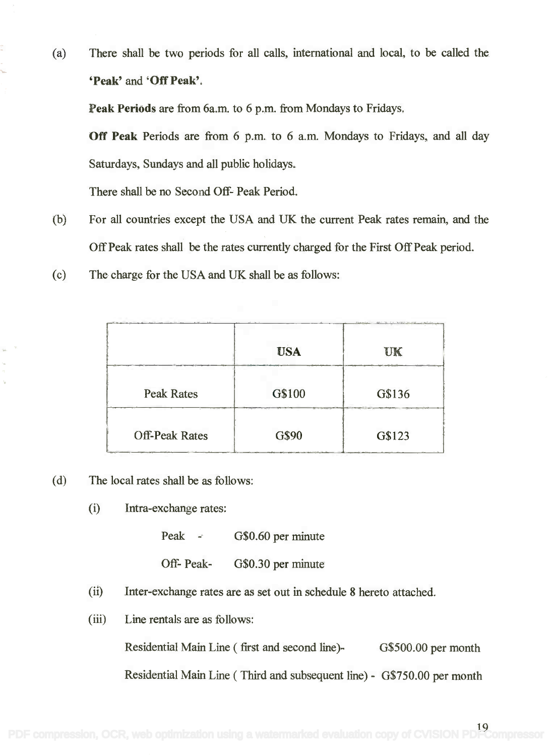(a) There shall be two periods for all calls, international and local, to be called the (a) There shall be two periods for all calls, international and local, to be called the `Peak' and `Off Peak'. **'Peak' and** 'Off Peak'.

Peak Periods are from 6a.m. to 6 p.m. from Mondays to Fridays. **Peak Periods** are from 6a.m. to 6 p.m. from Mondaysto Fridays.

Off Peak Periods are from 6 p.m. to 6 a.m. Mondays to Fridays, and all day **Off Peak** Periods are from 6 p.m. to 6 a.m. Mondays to Fridays, and all day Saturdays, Sundays and all public holidays. Saturdays, Sundays and all public holidays.

There shall be no Second Off- Peak Period. There shall be no Second Off- Peak Period.

- (b) For all countries except the USA and UK the current Peak rates remain, and the (b) For all countries except the USA and UK the current Peak rates remain, and the Off Peak rates shall be the rates currently charged for the First Off Peak period. Off Peak rates shall be the rates currently charged for the First Off Peak period.
- (c) The charge for the USA and UK shall be as follows:

|                       | <b>USA</b>                  | UK     |
|-----------------------|-----------------------------|--------|
| <b>Peak Rates</b>     | G\$100<br><b>CONTRACTOR</b> | G\$136 |
| <b>Off-Peak Rates</b> | G\$90                       | G\$123 |

- (d) The local rates shall be as follows: (d) The local rates shall be as follows:
	- (i) Intra-exchange rates: (i) Intra-exchange rates:

Peak - G\$0.60 per minute Peak -

Off- Peak- G\$0.30 per minute Off- Peak-

- (ii) Inter-exchange rates are as set out in schedule 8 hereto attached. (ii) Inter-exchange rates are as set out in schedule 8 hereto attached.
- (iii) Line rentals are as follows: (iii) Line rentals are as follows:

Residential Main Line (first and second line)- G\$500.00 per month

Residential Main Line ( Third and subsequent line) - G\$750.00 per month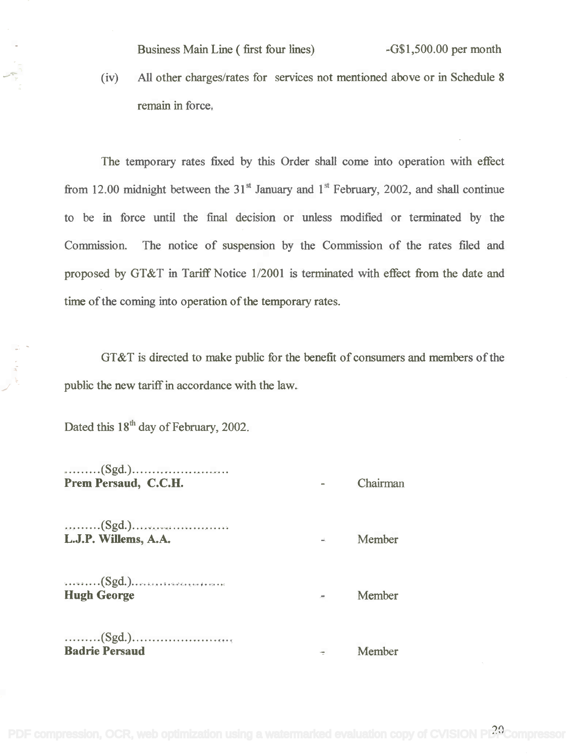Business Main Line ( first four lines) -G\$1,500.00 per month

(iv) All other charges/rates for services not mentioned above or in Schedule 8 remain in force.

The temporary rates fixed by this Order shall come into operation with effect from 12.00 midnight between the  $31<sup>st</sup>$  January and  $1<sup>st</sup>$  February, 2002, and shall continue to be in force until the final decision or unless modified or terminated by the Commission. The notice of suspension by the Commission of the rates filed and proposed by GT&T in Tariff Notice 1/2001 is terminated with effect from the date and time of the coming into operation of the temporary rates.

GT&T is directed to make public for the benefit of consumers and members of the public the new tariff in accordance with the law.

Dated this  $18<sup>th</sup>$  day of February, 2002.

(Sgd.) . .(Sgd.) . Prem Persaud, C.C.H. Chairman **Prem Persaud, C.C.H .**

(Sgd.) ........ .(Sgd.) . **L.J.P. Willems, A.A. .** *Member* 

(Sgd.) ........ .(Sgd.) . **Hugh George** Member

(Sgd.) ......... (Sgd.) . **Badrie Persaud** Member